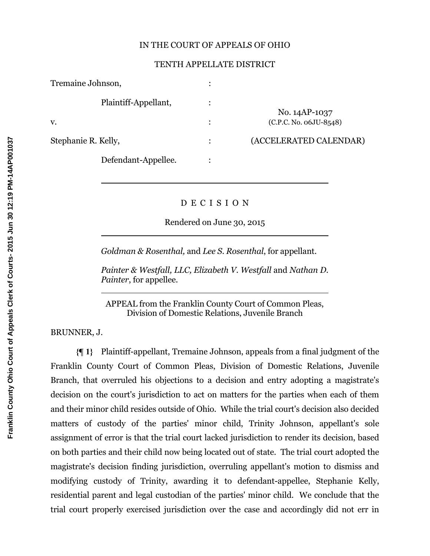### IN THE COURT OF APPEALS OF OHIO

### TENTH APPELLATE DISTRICT

| Tremaine Johnson,    |                          |
|----------------------|--------------------------|
| Plaintiff-Appellant, | No. 14AP-1037            |
| V.                   | $(C.P.C. No. 06JU-8548)$ |
| Stephanie R. Kelly,  | (ACCELERATED CALENDAR)   |
| Defendant-Appellee.  |                          |

## D E C I S I O N

Rendered on June 30, 2015

*Goldman & Rosenthal,* and *Lee S. Rosenthal*, for appellant.

*Painter & Westfall, LLC, Elizabeth V. Westfall* and *Nathan D. Painter*, for appellee.

APPEAL from the Franklin County Court of Common Pleas, Division of Domestic Relations, Juvenile Branch

BRUNNER, J.

 $\overline{a}$ 

 $\overline{a}$ 

 $\overline{a}$ 

**{¶ 1}** Plaintiff-appellant, Tremaine Johnson, appeals from a final judgment of the Franklin County Court of Common Pleas, Division of Domestic Relations, Juvenile Branch, that overruled his objections to a decision and entry adopting a magistrate's decision on the court's jurisdiction to act on matters for the parties when each of them and their minor child resides outside of Ohio. While the trial court's decision also decided matters of custody of the parties' minor child, Trinity Johnson, appellant's sole assignment of error is that the trial court lacked jurisdiction to render its decision, based on both parties and their child now being located out of state. The trial court adopted the magistrate's decision finding jurisdiction, overruling appellant's motion to dismiss and modifying custody of Trinity, awarding it to defendant-appellee, Stephanie Kelly, residential parent and legal custodian of the parties' minor child. We conclude that the trial court properly exercised jurisdiction over the case and accordingly did not err in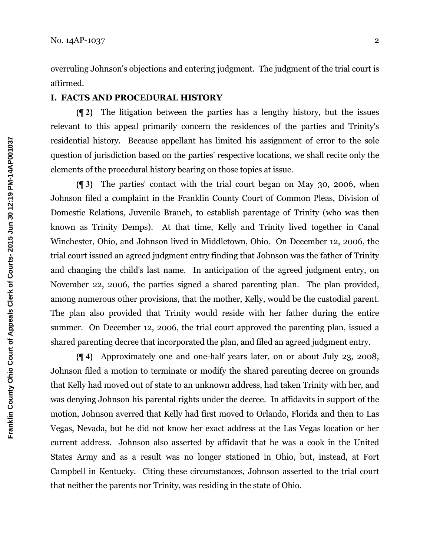overruling Johnson's objections and entering judgment. The judgment of the trial court is affirmed.

## **I. FACTS AND PROCEDURAL HISTORY**

**{¶ 2}** The litigation between the parties has a lengthy history, but the issues relevant to this appeal primarily concern the residences of the parties and Trinity's residential history. Because appellant has limited his assignment of error to the sole question of jurisdiction based on the parties' respective locations, we shall recite only the elements of the procedural history bearing on those topics at issue.

**{¶ 3}** The parties' contact with the trial court began on May 30, 2006, when Johnson filed a complaint in the Franklin County Court of Common Pleas, Division of Domestic Relations, Juvenile Branch, to establish parentage of Trinity (who was then known as Trinity Demps). At that time, Kelly and Trinity lived together in Canal Winchester, Ohio, and Johnson lived in Middletown, Ohio. On December 12, 2006, the trial court issued an agreed judgment entry finding that Johnson was the father of Trinity and changing the child's last name. In anticipation of the agreed judgment entry, on November 22, 2006, the parties signed a shared parenting plan. The plan provided, among numerous other provisions, that the mother, Kelly, would be the custodial parent. The plan also provided that Trinity would reside with her father during the entire summer. On December 12, 2006, the trial court approved the parenting plan, issued a shared parenting decree that incorporated the plan, and filed an agreed judgment entry.

**{¶ 4}** Approximately one and one-half years later, on or about July 23, 2008, Johnson filed a motion to terminate or modify the shared parenting decree on grounds that Kelly had moved out of state to an unknown address, had taken Trinity with her, and was denying Johnson his parental rights under the decree. In affidavits in support of the motion, Johnson averred that Kelly had first moved to Orlando, Florida and then to Las Vegas, Nevada, but he did not know her exact address at the Las Vegas location or her current address. Johnson also asserted by affidavit that he was a cook in the United States Army and as a result was no longer stationed in Ohio, but, instead, at Fort Campbell in Kentucky. Citing these circumstances, Johnson asserted to the trial court that neither the parents nor Trinity, was residing in the state of Ohio.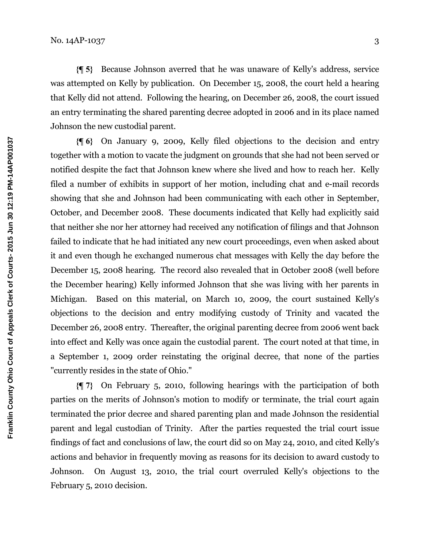**{¶ 5}** Because Johnson averred that he was unaware of Kelly's address, service was attempted on Kelly by publication. On December 15, 2008, the court held a hearing that Kelly did not attend. Following the hearing, on December 26, 2008, the court issued an entry terminating the shared parenting decree adopted in 2006 and in its place named Johnson the new custodial parent.

**{¶ 6}** On January 9, 2009, Kelly filed objections to the decision and entry together with a motion to vacate the judgment on grounds that she had not been served or notified despite the fact that Johnson knew where she lived and how to reach her. Kelly filed a number of exhibits in support of her motion, including chat and e-mail records showing that she and Johnson had been communicating with each other in September, October, and December 2008. These documents indicated that Kelly had explicitly said that neither she nor her attorney had received any notification of filings and that Johnson failed to indicate that he had initiated any new court proceedings, even when asked about it and even though he exchanged numerous chat messages with Kelly the day before the December 15, 2008 hearing. The record also revealed that in October 2008 (well before the December hearing) Kelly informed Johnson that she was living with her parents in Michigan. Based on this material, on March 10, 2009, the court sustained Kelly's objections to the decision and entry modifying custody of Trinity and vacated the December 26, 2008 entry. Thereafter, the original parenting decree from 2006 went back into effect and Kelly was once again the custodial parent. The court noted at that time, in a September 1, 2009 order reinstating the original decree, that none of the parties "currently resides in the state of Ohio."

**{¶ 7}** On February 5, 2010, following hearings with the participation of both parties on the merits of Johnson's motion to modify or terminate, the trial court again terminated the prior decree and shared parenting plan and made Johnson the residential parent and legal custodian of Trinity. After the parties requested the trial court issue findings of fact and conclusions of law, the court did so on May 24, 2010, and cited Kelly's actions and behavior in frequently moving as reasons for its decision to award custody to Johnson. On August 13, 2010, the trial court overruled Kelly's objections to the February 5, 2010 decision.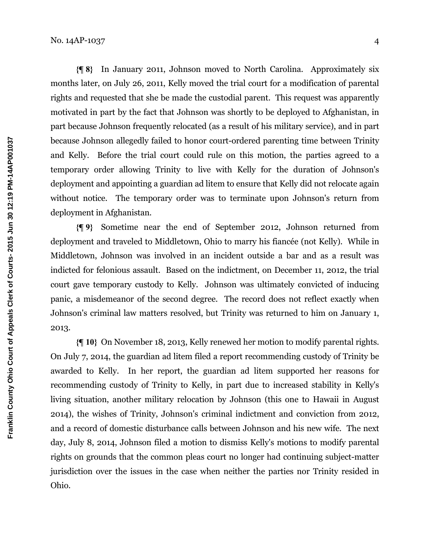**{¶ 8}** In January 2011, Johnson moved to North Carolina. Approximately six months later, on July 26, 2011, Kelly moved the trial court for a modification of parental rights and requested that she be made the custodial parent. This request was apparently motivated in part by the fact that Johnson was shortly to be deployed to Afghanistan, in part because Johnson frequently relocated (as a result of his military service), and in part because Johnson allegedly failed to honor court-ordered parenting time between Trinity and Kelly. Before the trial court could rule on this motion, the parties agreed to a temporary order allowing Trinity to live with Kelly for the duration of Johnson's deployment and appointing a guardian ad litem to ensure that Kelly did not relocate again without notice. The temporary order was to terminate upon Johnson's return from deployment in Afghanistan.

**{¶ 9}** Sometime near the end of September 2012, Johnson returned from deployment and traveled to Middletown, Ohio to marry his fiancée (not Kelly). While in Middletown, Johnson was involved in an incident outside a bar and as a result was indicted for felonious assault. Based on the indictment, on December 11, 2012, the trial court gave temporary custody to Kelly. Johnson was ultimately convicted of inducing panic, a misdemeanor of the second degree. The record does not reflect exactly when Johnson's criminal law matters resolved, but Trinity was returned to him on January 1, 2013.

**{¶ 10}** On November 18, 2013, Kelly renewed her motion to modify parental rights. On July 7, 2014, the guardian ad litem filed a report recommending custody of Trinity be awarded to Kelly. In her report, the guardian ad litem supported her reasons for recommending custody of Trinity to Kelly, in part due to increased stability in Kelly's living situation, another military relocation by Johnson (this one to Hawaii in August 2014), the wishes of Trinity, Johnson's criminal indictment and conviction from 2012, and a record of domestic disturbance calls between Johnson and his new wife. The next day, July 8, 2014, Johnson filed a motion to dismiss Kelly's motions to modify parental rights on grounds that the common pleas court no longer had continuing subject-matter jurisdiction over the issues in the case when neither the parties nor Trinity resided in Ohio.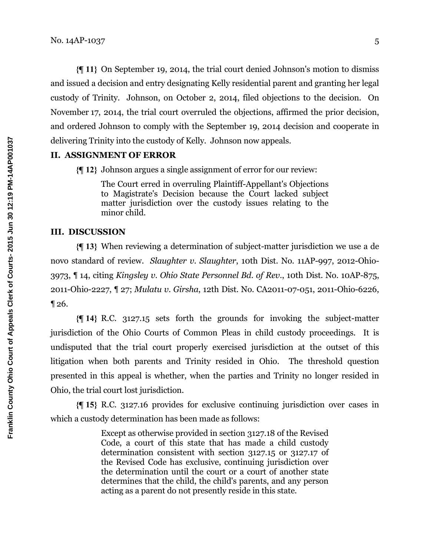**{¶ 11}** On September 19, 2014, the trial court denied Johnson's motion to dismiss and issued a decision and entry designating Kelly residential parent and granting her legal custody of Trinity. Johnson, on October 2, 2014, filed objections to the decision. On November 17, 2014, the trial court overruled the objections, affirmed the prior decision, and ordered Johnson to comply with the September 19, 2014 decision and cooperate in delivering Trinity into the custody of Kelly. Johnson now appeals.

## **II. ASSIGNMENT OF ERROR**

**{¶ 12}** Johnson argues a single assignment of error for our review:

The Court erred in overruling Plaintiff-Appellant's Objections to Magistrate's Decision because the Court lacked subject matter jurisdiction over the custody issues relating to the minor child.

### **III. DISCUSSION**

**{¶ 13}** When reviewing a determination of subject-matter jurisdiction we use a de novo standard of review. *Slaughter v. Slaughter*, 10th Dist. No. 11AP-997, 2012-Ohio-3973, ¶ 14, citing *Kingsley v. Ohio State Personnel Bd. of Rev*., 10th Dist. No. 10AP-875, 2011-Ohio-2227, ¶ 27; *Mulatu v. Girsha*, 12th Dist. No. CA2011-07-051, 2011-Ohio-6226, ¶ 26.

**{¶ 14}** R.C. 3127.15 sets forth the grounds for invoking the subject-matter jurisdiction of the Ohio Courts of Common Pleas in child custody proceedings. It is undisputed that the trial court properly exercised jurisdiction at the outset of this litigation when both parents and Trinity resided in Ohio. The threshold question presented in this appeal is whether, when the parties and Trinity no longer resided in Ohio, the trial court lost jurisdiction.

**{¶ 15}** R.C. 3127.16 provides for exclusive continuing jurisdiction over cases in which a custody determination has been made as follows:

> Except as otherwise provided in section 3127.18 of the Revised Code, a court of this state that has made a child custody determination consistent with section 3127.15 or 3127.17 of the Revised Code has exclusive, continuing jurisdiction over the determination until the court or a court of another state determines that the child, the child's parents, and any person acting as a parent do not presently reside in this state.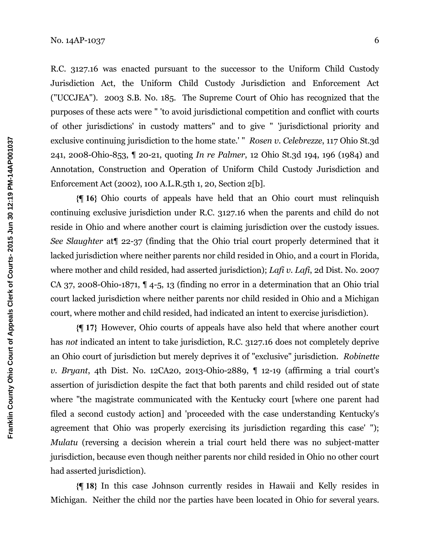R.C. 3127.16 was enacted pursuant to the successor to the Uniform Child Custody Jurisdiction Act, the Uniform Child Custody Jurisdiction and Enforcement Act ("UCCJEA"). 2003 S.B. No. 185. The Supreme Court of Ohio has recognized that the purposes of these acts were " 'to avoid jurisdictional competition and conflict with courts of other jurisdictions' in custody matters" and to give " 'jurisdictional priority and exclusive continuing jurisdiction to the home state.' " *Rosen v. Celebrezze*, 117 Ohio St.3d 241, 2008-Ohio-853, ¶ 20-21, quoting *In re Palmer*, 12 Ohio St.3d 194, 196 (1984) and Annotation, Construction and Operation of Uniform Child Custody Jurisdiction and Enforcement Act (2002), 100 A.L.R.5th 1, 20, Section 2[b].

**{¶ 16}** Ohio courts of appeals have held that an Ohio court must relinquish continuing exclusive jurisdiction under R.C. 3127.16 when the parents and child do not reside in Ohio and where another court is claiming jurisdiction over the custody issues. *See Slaughter* at¶ 22-37 (finding that the Ohio trial court properly determined that it lacked jurisdiction where neither parents nor child resided in Ohio, and a court in Florida, where mother and child resided, had asserted jurisdiction); *Lafi v. Lafi*, 2d Dist. No. 2007 CA 37, 2008-Ohio-1871, ¶ 4-5, 13 (finding no error in a determination that an Ohio trial court lacked jurisdiction where neither parents nor child resided in Ohio and a Michigan court, where mother and child resided, had indicated an intent to exercise jurisdiction).

**{¶ 17}** However, Ohio courts of appeals have also held that where another court has *not* indicated an intent to take jurisdiction, R.C. 3127.16 does not completely deprive an Ohio court of jurisdiction but merely deprives it of "exclusive" jurisdiction. *Robinette v. Bryant*, 4th Dist. No. 12CA20, 2013-Ohio-2889, ¶ 12-19 (affirming a trial court's assertion of jurisdiction despite the fact that both parents and child resided out of state where "the magistrate communicated with the Kentucky court [where one parent had filed a second custody action] and 'proceeded with the case understanding Kentucky's agreement that Ohio was properly exercising its jurisdiction regarding this case' "); *Mulatu* (reversing a decision wherein a trial court held there was no subject-matter jurisdiction, because even though neither parents nor child resided in Ohio no other court had asserted jurisdiction).

**{¶ 18}** In this case Johnson currently resides in Hawaii and Kelly resides in Michigan. Neither the child nor the parties have been located in Ohio for several years.